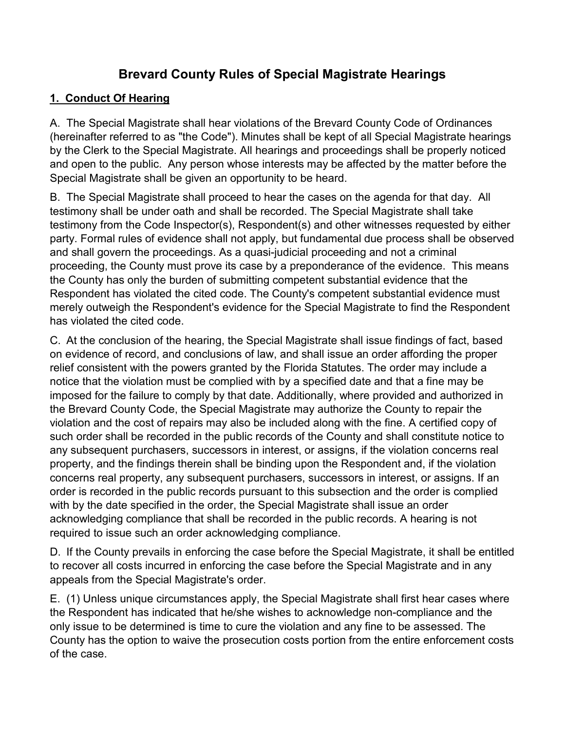# **Brevard County Rules of Special Magistrate Hearings**

# **1. Conduct Of Hearing**

A. The Special Magistrate shall hear violations of the Brevard County Code of Ordinances (hereinafter referred to as "the Code"). Minutes shall be kept of all Special Magistrate hearings by the Clerk to the Special Magistrate. All hearings and proceedings shall be properly noticed and open to the public. Any person whose interests may be affected by the matter before the Special Magistrate shall be given an opportunity to be heard.

B. The Special Magistrate shall proceed to hear the cases on the agenda for that day. All testimony shall be under oath and shall be recorded. The Special Magistrate shall take testimony from the Code Inspector(s), Respondent(s) and other witnesses requested by either party. Formal rules of evidence shall not apply, but fundamental due process shall be observed and shall govern the proceedings. As a quasi-judicial proceeding and not a criminal proceeding, the County must prove its case by a preponderance of the evidence. This means the County has only the burden of submitting competent substantial evidence that the Respondent has violated the cited code. The County's competent substantial evidence must merely outweigh the Respondent's evidence for the Special Magistrate to find the Respondent has violated the cited code.

C. At the conclusion of the hearing, the Special Magistrate shall issue findings of fact, based on evidence of record, and conclusions of law, and shall issue an order affording the proper relief consistent with the powers granted by the Florida Statutes. The order may include a notice that the violation must be complied with by a specified date and that a fine may be imposed for the failure to comply by that date. Additionally, where provided and authorized in the Brevard County Code, the Special Magistrate may authorize the County to repair the violation and the cost of repairs may also be included along with the fine. A certified copy of such order shall be recorded in the public records of the County and shall constitute notice to any subsequent purchasers, successors in interest, or assigns, if the violation concerns real property, and the findings therein shall be binding upon the Respondent and, if the violation concerns real property, any subsequent purchasers, successors in interest, or assigns. If an order is recorded in the public records pursuant to this subsection and the order is complied with by the date specified in the order, the Special Magistrate shall issue an order acknowledging compliance that shall be recorded in the public records. A hearing is not required to issue such an order acknowledging compliance.

D. If the County prevails in enforcing the case before the Special Magistrate, it shall be entitled to recover all costs incurred in enforcing the case before the Special Magistrate and in any appeals from the Special Magistrate's order.

E. (1) Unless unique circumstances apply, the Special Magistrate shall first hear cases where the Respondent has indicated that he/she wishes to acknowledge non-compliance and the only issue to be determined is time to cure the violation and any fine to be assessed. The County has the option to waive the prosecution costs portion from the entire enforcement costs of the case.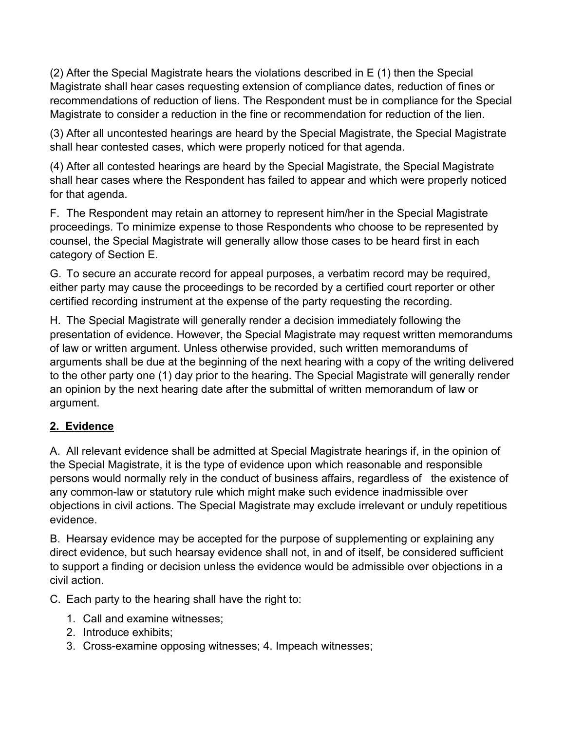(2) After the Special Magistrate hears the violations described in E (1) then the Special Magistrate shall hear cases requesting extension of compliance dates, reduction of fines or recommendations of reduction of liens. The Respondent must be in compliance for the Special Magistrate to consider a reduction in the fine or recommendation for reduction of the lien.

(3) After all uncontested hearings are heard by the Special Magistrate, the Special Magistrate shall hear contested cases, which were properly noticed for that agenda.

(4) After all contested hearings are heard by the Special Magistrate, the Special Magistrate shall hear cases where the Respondent has failed to appear and which were properly noticed for that agenda.

F. The Respondent may retain an attorney to represent him/her in the Special Magistrate proceedings. To minimize expense to those Respondents who choose to be represented by counsel, the Special Magistrate will generally allow those cases to be heard first in each category of Section E.

G. To secure an accurate record for appeal purposes, a verbatim record may be required, either party may cause the proceedings to be recorded by a certified court reporter or other certified recording instrument at the expense of the party requesting the recording.

H. The Special Magistrate will generally render a decision immediately following the presentation of evidence. However, the Special Magistrate may request written memorandums of law or written argument. Unless otherwise provided, such written memorandums of arguments shall be due at the beginning of the next hearing with a copy of the writing delivered to the other party one (1) day prior to the hearing. The Special Magistrate will generally render an opinion by the next hearing date after the submittal of written memorandum of law or argument.

## **2. Evidence**

A. All relevant evidence shall be admitted at Special Magistrate hearings if, in the opinion of the Special Magistrate, it is the type of evidence upon which reasonable and responsible persons would normally rely in the conduct of business affairs, regardless of the existence of any common-law or statutory rule which might make such evidence inadmissible over objections in civil actions. The Special Magistrate may exclude irrelevant or unduly repetitious evidence.

B. Hearsay evidence may be accepted for the purpose of supplementing or explaining any direct evidence, but such hearsay evidence shall not, in and of itself, be considered sufficient to support a finding or decision unless the evidence would be admissible over objections in a civil action.

C. Each party to the hearing shall have the right to:

- 1. Call and examine witnesses;
- 2. Introduce exhibits;
- 3. Cross-examine opposing witnesses; 4. Impeach witnesses;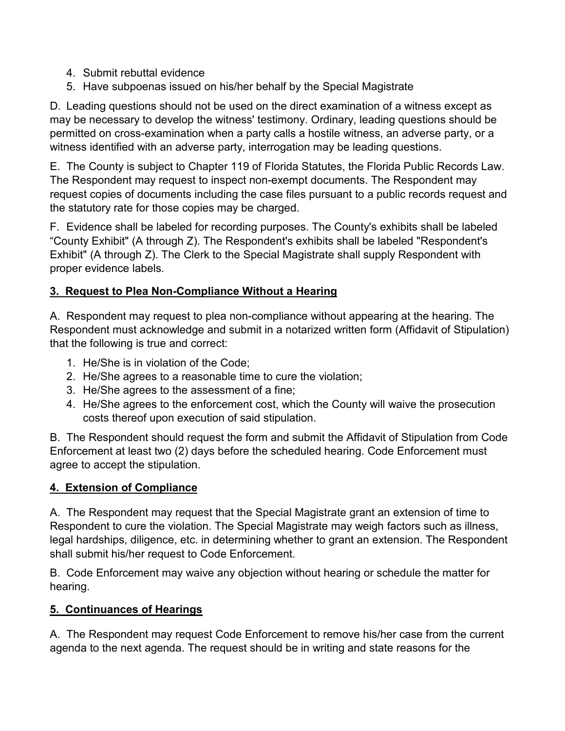- 4. Submit rebuttal evidence
- 5. Have subpoenas issued on his/her behalf by the Special Magistrate

D. Leading questions should not be used on the direct examination of a witness except as may be necessary to develop the witness' testimony. Ordinary, leading questions should be permitted on cross-examination when a party calls a hostile witness, an adverse party, or a witness identified with an adverse party, interrogation may be leading questions.

E. The County is subject to Chapter 119 of Florida Statutes, the Florida Public Records Law. The Respondent may request to inspect non-exempt documents. The Respondent may request copies of documents including the case files pursuant to a public records request and the statutory rate for those copies may be charged.

F. Evidence shall be labeled for recording purposes. The County's exhibits shall be labeled "County Exhibit" (A through Z). The Respondent's exhibits shall be labeled "Respondent's Exhibit" (A through Z). The Clerk to the Special Magistrate shall supply Respondent with proper evidence labels.

## **3. Request to Plea Non-Compliance Without a Hearing**

A. Respondent may request to plea non-compliance without appearing at the hearing. The Respondent must acknowledge and submit in a notarized written form (Affidavit of Stipulation) that the following is true and correct:

- 1. He/She is in violation of the Code;
- 2. He/She agrees to a reasonable time to cure the violation;
- 3. He/She agrees to the assessment of a fine;
- 4. He/She agrees to the enforcement cost, which the County will waive the prosecution costs thereof upon execution of said stipulation.

B. The Respondent should request the form and submit the Affidavit of Stipulation from Code Enforcement at least two (2) days before the scheduled hearing. Code Enforcement must agree to accept the stipulation.

#### **4. Extension of Compliance**

A. The Respondent may request that the Special Magistrate grant an extension of time to Respondent to cure the violation. The Special Magistrate may weigh factors such as illness, legal hardships, diligence, etc. in determining whether to grant an extension. The Respondent shall submit his/her request to Code Enforcement.

B. Code Enforcement may waive any objection without hearing or schedule the matter for hearing.

## **5. Continuances of Hearings**

A. The Respondent may request Code Enforcement to remove his/her case from the current agenda to the next agenda. The request should be in writing and state reasons for the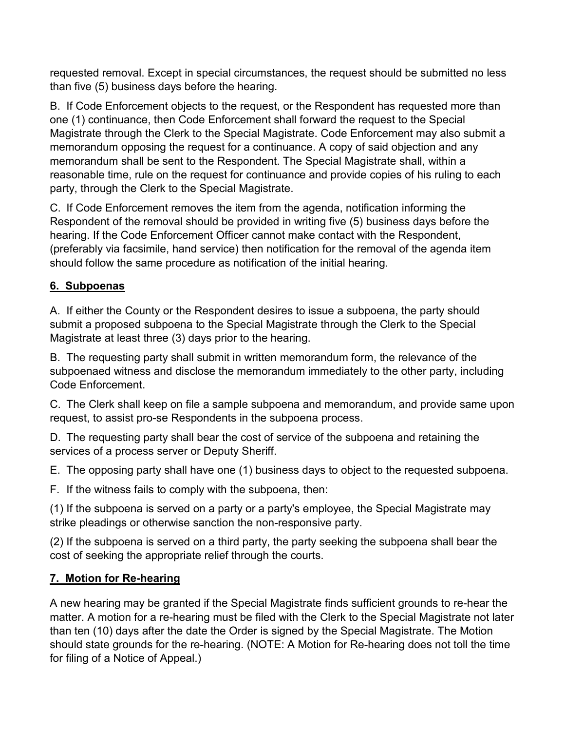requested removal. Except in special circumstances, the request should be submitted no less than five (5) business days before the hearing.

B. If Code Enforcement objects to the request, or the Respondent has requested more than one (1) continuance, then Code Enforcement shall forward the request to the Special Magistrate through the Clerk to the Special Magistrate. Code Enforcement may also submit a memorandum opposing the request for a continuance. A copy of said objection and any memorandum shall be sent to the Respondent. The Special Magistrate shall, within a reasonable time, rule on the request for continuance and provide copies of his ruling to each party, through the Clerk to the Special Magistrate.

C. If Code Enforcement removes the item from the agenda, notification informing the Respondent of the removal should be provided in writing five (5) business days before the hearing. If the Code Enforcement Officer cannot make contact with the Respondent, (preferably via facsimile, hand service) then notification for the removal of the agenda item should follow the same procedure as notification of the initial hearing.

# **6. Subpoenas**

A. If either the County or the Respondent desires to issue a subpoena, the party should submit a proposed subpoena to the Special Magistrate through the Clerk to the Special Magistrate at least three (3) days prior to the hearing.

B. The requesting party shall submit in written memorandum form, the relevance of the subpoenaed witness and disclose the memorandum immediately to the other party, including Code Enforcement.

C. The Clerk shall keep on file a sample subpoena and memorandum, and provide same upon request, to assist pro-se Respondents in the subpoena process.

D. The requesting party shall bear the cost of service of the subpoena and retaining the services of a process server or Deputy Sheriff.

E. The opposing party shall have one (1) business days to object to the requested subpoena.

F. If the witness fails to comply with the subpoena, then:

(1) If the subpoena is served on a party or a party's employee, the Special Magistrate may strike pleadings or otherwise sanction the non-responsive party.

(2) If the subpoena is served on a third party, the party seeking the subpoena shall bear the cost of seeking the appropriate relief through the courts.

# **7. Motion for Re-hearing**

A new hearing may be granted if the Special Magistrate finds sufficient grounds to re-hear the matter. A motion for a re-hearing must be filed with the Clerk to the Special Magistrate not later than ten (10) days after the date the Order is signed by the Special Magistrate. The Motion should state grounds for the re-hearing. (NOTE: A Motion for Re-hearing does not toll the time for filing of a Notice of Appeal.)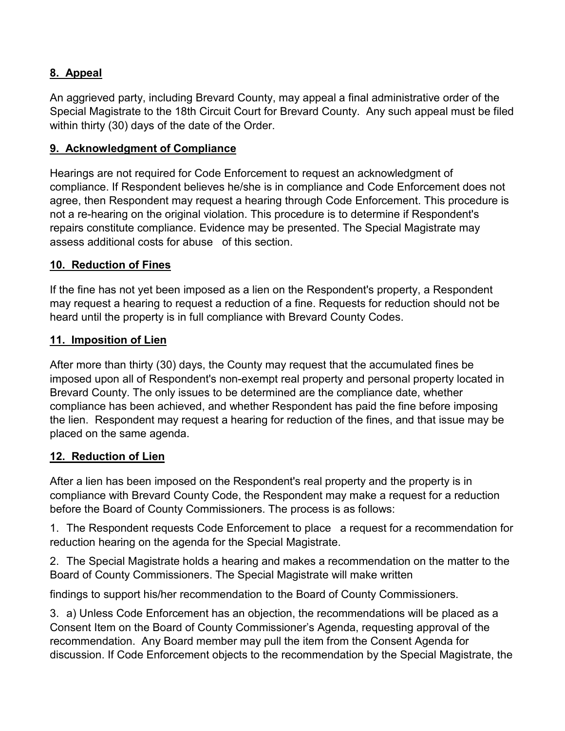### **8. Appeal**

An aggrieved party, including Brevard County, may appeal a final administrative order of the Special Magistrate to the 18th Circuit Court for Brevard County. Any such appeal must be filed within thirty (30) days of the date of the Order.

#### **9. Acknowledgment of Compliance**

Hearings are not required for Code Enforcement to request an acknowledgment of compliance. If Respondent believes he/she is in compliance and Code Enforcement does not agree, then Respondent may request a hearing through Code Enforcement. This procedure is not a re-hearing on the original violation. This procedure is to determine if Respondent's repairs constitute compliance. Evidence may be presented. The Special Magistrate may assess additional costs for abuse of this section.

#### **10. Reduction of Fines**

If the fine has not yet been imposed as a lien on the Respondent's property, a Respondent may request a hearing to request a reduction of a fine. Requests for reduction should not be heard until the property is in full compliance with Brevard County Codes.

#### **11. Imposition of Lien**

After more than thirty (30) days, the County may request that the accumulated fines be imposed upon all of Respondent's non-exempt real property and personal property located in Brevard County. The only issues to be determined are the compliance date, whether compliance has been achieved, and whether Respondent has paid the fine before imposing the lien. Respondent may request a hearing for reduction of the fines, and that issue may be placed on the same agenda.

#### **12. Reduction of Lien**

After a lien has been imposed on the Respondent's real property and the property is in compliance with Brevard County Code, the Respondent may make a request for a reduction before the Board of County Commissioners. The process is as follows:

1. The Respondent requests Code Enforcement to place a request for a recommendation for reduction hearing on the agenda for the Special Magistrate.

2. The Special Magistrate holds a hearing and makes a recommendation on the matter to the Board of County Commissioners. The Special Magistrate will make written

findings to support his/her recommendation to the Board of County Commissioners.

3. a) Unless Code Enforcement has an objection, the recommendations will be placed as a Consent Item on the Board of County Commissioner's Agenda, requesting approval of the recommendation. Any Board member may pull the item from the Consent Agenda for discussion. If Code Enforcement objects to the recommendation by the Special Magistrate, the